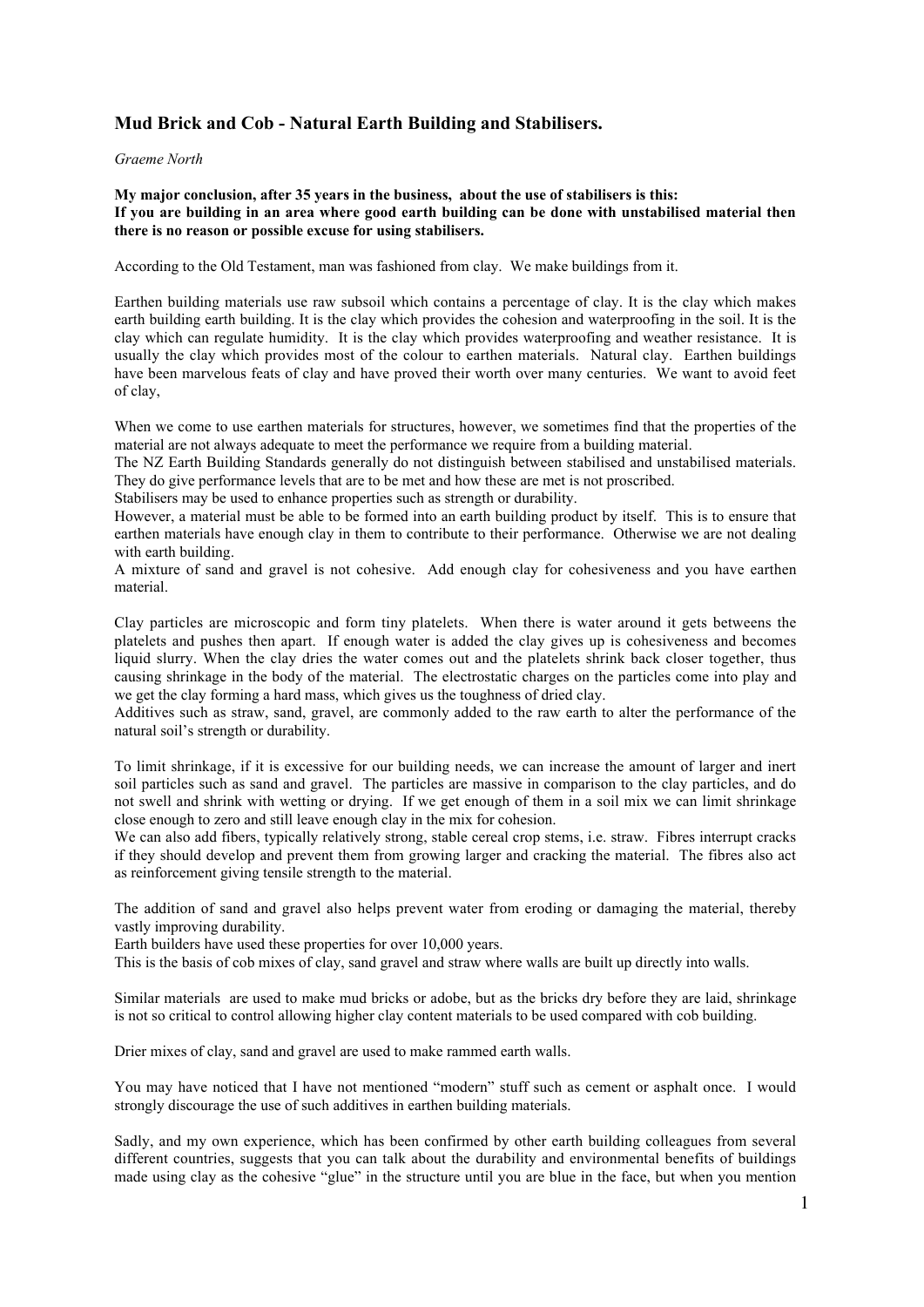## Mud Brick and Cob - Natural Earth Building and Stabilisers**.**

## *Graeme North*

## My major conclusion, after 35 years in the business, about the use of stabilisers is this: If you are building in an area where good earth building can be done with unstabilised material then there is no reason or possible excuse for using stabilisers.

According to the Old Testament, man was fashioned from clay. We make buildings from it.

Earthen building materials use raw subsoil which contains a percentage of clay. It is the clay which makes earth building earth building. It is the clay which provides the cohesion and waterproofing in the soil. It is the clay which can regulate humidity. It is the clay which provides waterproofing and weather resistance. It is usually the clay which provides most of the colour to earthen materials. Natural clay. Earthen buildings have been marvelous feats of clay and have proved their worth over many centuries. We want to avoid feet of clay,

When we come to use earthen materials for structures, however, we sometimes find that the properties of the material are not always adequate to meet the performance we require from a building material.

The NZ Earth Building Standards generally do not distinguish between stabilised and unstabilised materials. They do give performance levels that are to be met and how these are met is not proscribed.

Stabilisers may be used to enhance properties such as strength or durability.

However, a material must be able to be formed into an earth building product by itself. This is to ensure that earthen materials have enough clay in them to contribute to their performance. Otherwise we are not dealing with earth building.

A mixture of sand and gravel is not cohesive. Add enough clay for cohesiveness and you have earthen material.

Clay particles are microscopic and form tiny platelets. When there is water around it gets betweens the platelets and pushes then apart. If enough water is added the clay gives up is cohesiveness and becomes liquid slurry. When the clay dries the water comes out and the platelets shrink back closer together, thus causing shrinkage in the body of the material. The electrostatic charges on the particles come into play and we get the clay forming a hard mass, which gives us the toughness of dried clay.

Additives such as straw, sand, gravel, are commonly added to the raw earth to alter the performance of the natural soil's strength or durability.

To limit shrinkage, if it is excessive for our building needs, we can increase the amount of larger and inert soil particles such as sand and gravel. The particles are massive in comparison to the clay particles, and do not swell and shrink with wetting or drying. If we get enough of them in a soil mix we can limit shrinkage close enough to zero and still leave enough clay in the mix for cohesion.

We can also add fibers, typically relatively strong, stable cereal crop stems, i.e. straw. Fibres interrupt cracks if they should develop and prevent them from growing larger and cracking the material. The fibres also act as reinforcement giving tensile strength to the material.

The addition of sand and gravel also helps prevent water from eroding or damaging the material, thereby vastly improving durability.

Earth builders have used these properties for over 10,000 years.

This is the basis of cob mixes of clay, sand gravel and straw where walls are built up directly into walls.

Similar materials are used to make mud bricks or adobe, but as the bricks dry before they are laid, shrinkage is not so critical to control allowing higher clay content materials to be used compared with cob building.

Drier mixes of clay, sand and gravel are used to make rammed earth walls.

You may have noticed that I have not mentioned "modern" stuff such as cement or asphalt once. I would strongly discourage the use of such additives in earthen building materials.

Sadly, and my own experience, which has been confirmed by other earth building colleagues from several different countries, suggests that you can talk about the durability and environmental benefits of buildings made using clay as the cohesive "glue" in the structure until you are blue in the face, but when you mention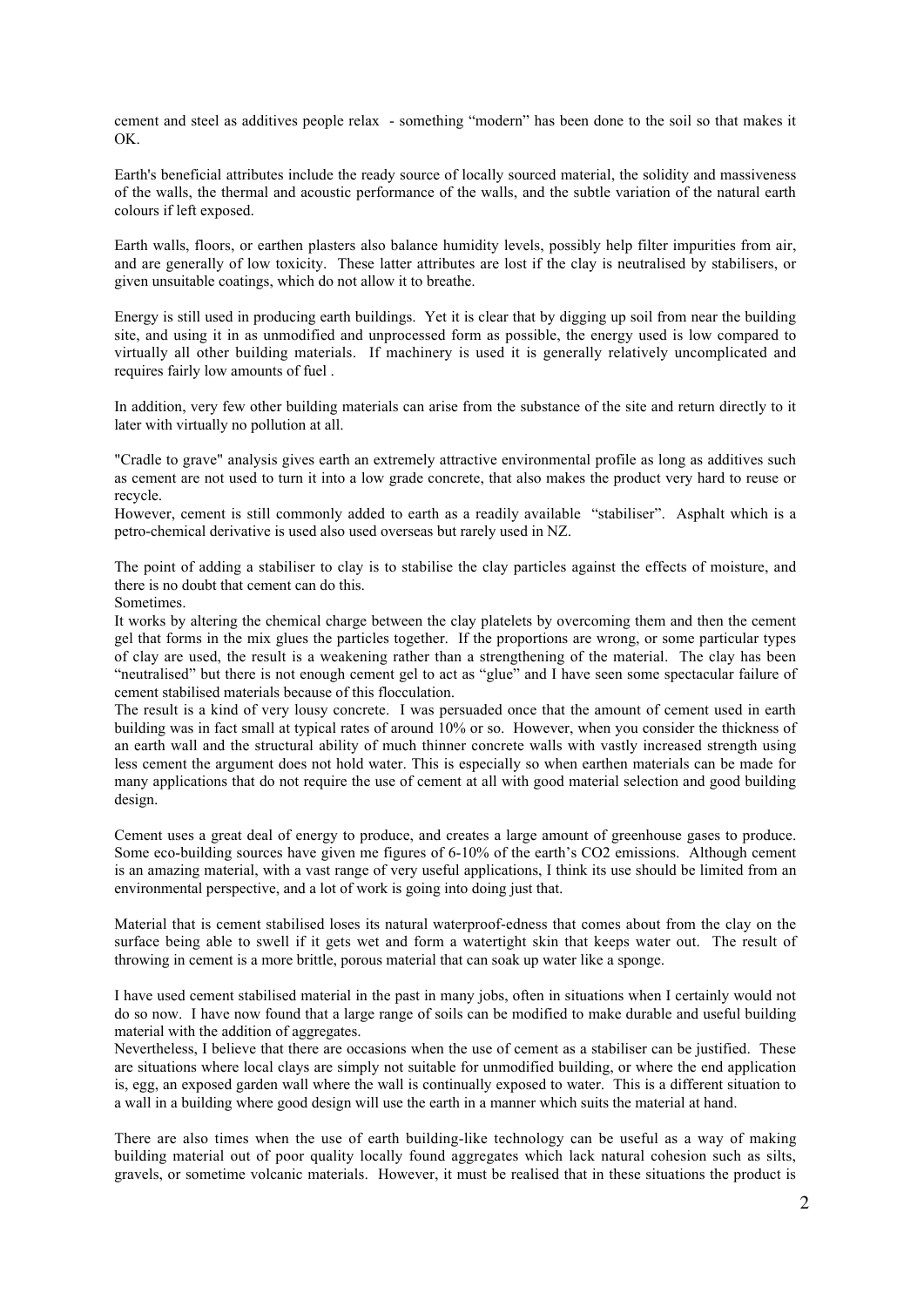cement and steel as additives people relax - something "modern" has been done to the soil so that makes it OK.

Earth's beneficial attributes include the ready source of locally sourced material, the solidity and massiveness of the walls, the thermal and acoustic performance of the walls, and the subtle variation of the natural earth colours if left exposed.

Earth walls, floors, or earthen plasters also balance humidity levels, possibly help filter impurities from air, and are generally of low toxicity. These latter attributes are lost if the clay is neutralised by stabilisers, or given unsuitable coatings, which do not allow it to breathe.

Energy is still used in producing earth buildings. Yet it is clear that by digging up soil from near the building site, and using it in as unmodified and unprocessed form as possible, the energy used is low compared to virtually all other building materials. If machinery is used it is generally relatively uncomplicated and requires fairly low amounts of fuel .

In addition, very few other building materials can arise from the substance of the site and return directly to it later with virtually no pollution at all.

"Cradle to grave" analysis gives earth an extremely attractive environmental profile as long as additives such as cement are not used to turn it into a low grade concrete, that also makes the product very hard to reuse or recycle.

However, cement is still commonly added to earth as a readily available "stabiliser". Asphalt which is a petro-chemical derivative is used also used overseas but rarely used in NZ.

The point of adding a stabiliser to clay is to stabilise the clay particles against the effects of moisture, and there is no doubt that cement can do this.

Sometimes.

It works by altering the chemical charge between the clay platelets by overcoming them and then the cement gel that forms in the mix glues the particles together. If the proportions are wrong, or some particular types of clay are used, the result is a weakening rather than a strengthening of the material. The clay has been "neutralised" but there is not enough cement gel to act as "glue" and I have seen some spectacular failure of cement stabilised materials because of this flocculation.

The result is a kind of very lousy concrete. I was persuaded once that the amount of cement used in earth building was in fact small at typical rates of around 10% or so. However, when you consider the thickness of an earth wall and the structural ability of much thinner concrete walls with vastly increased strength using less cement the argument does not hold water. This is especially so when earthen materials can be made for many applications that do not require the use of cement at all with good material selection and good building design.

Cement uses a great deal of energy to produce, and creates a large amount of greenhouse gases to produce. Some eco-building sources have given me figures of 6-10% of the earth's CO2 emissions. Although cement is an amazing material, with a vast range of very useful applications, I think its use should be limited from an environmental perspective, and a lot of work is going into doing just that.

Material that is cement stabilised loses its natural waterproof-edness that comes about from the clay on the surface being able to swell if it gets wet and form a watertight skin that keeps water out. The result of throwing in cement is a more brittle, porous material that can soak up water like a sponge.

I have used cement stabilised material in the past in many jobs, often in situations when I certainly would not do so now. I have now found that a large range of soils can be modified to make durable and useful building material with the addition of aggregates.

Nevertheless, I believe that there are occasions when the use of cement as a stabiliser can be justified. These are situations where local clays are simply not suitable for unmodified building, or where the end application is, egg, an exposed garden wall where the wall is continually exposed to water. This is a different situation to a wall in a building where good design will use the earth in a manner which suits the material at hand.

There are also times when the use of earth building-like technology can be useful as a way of making building material out of poor quality locally found aggregates which lack natural cohesion such as silts, gravels, or sometime volcanic materials. However, it must be realised that in these situations the product is